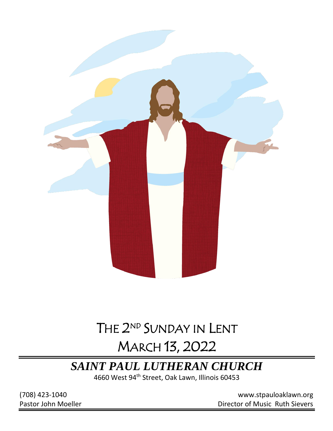

# THE 2<sup>ND</sup> SUNDAY IN LENT

# MARCH 13, 2022

## *SAINT PAUL LUTHERAN CHURCH*

4660 West 94th Street, Oak Lawn, Illinois 60453

(708) 423-1040 [www.stpauloaklawn.org](about:blank) Pastor John Moeller **Director of Music Ruth Sievers**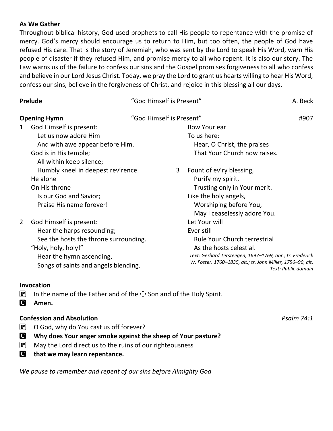#### **As We Gather**

Throughout biblical history, God used prophets to call His people to repentance with the promise of mercy. God's mercy should encourage us to return to Him, but too often, the people of God have refused His care. That is the story of Jeremiah, who was sent by the Lord to speak His Word, warn His people of disaster if they refused Him, and promise mercy to all who repent. It is also our story. The Law warns us of the failure to confess our sins and the Gospel promises forgiveness to all who confess and believe in our Lord Jesus Christ. Today, we pray the Lord to grant us hearts willing to hear His Word, confess our sins, believe in the forgiveness of Christ, and rejoice in this blessing all our days.

| Prelude                                                                                                                                                                                        | "God Himself is Present"                                                                                                                                                                                                | A. Beck             |
|------------------------------------------------------------------------------------------------------------------------------------------------------------------------------------------------|-------------------------------------------------------------------------------------------------------------------------------------------------------------------------------------------------------------------------|---------------------|
| <b>Opening Hymn</b>                                                                                                                                                                            | "God Himself is Present"                                                                                                                                                                                                | #907                |
| God Himself is present:<br>1<br>Let us now adore Him<br>And with awe appear before Him.<br>God is in His temple;<br>All within keep silence;                                                   | Bow Your ear<br>To us here:<br>Hear, O Christ, the praises<br>That Your Church now raises.                                                                                                                              |                     |
| Humbly kneel in deepest rev'rence.<br>He alone<br>On His throne<br>Is our God and Savior;<br>Praise His name forever!                                                                          | Fount of ev'ry blessing,<br>3<br>Purify my spirit,<br>Trusting only in Your merit.<br>Like the holy angels,<br>Worshiping before You,<br>May I ceaselessly adore You.                                                   |                     |
| God Himself is present:<br>2<br>Hear the harps resounding;<br>See the hosts the throne surrounding.<br>"Holy, holy, holy!"<br>Hear the hymn ascending,<br>Songs of saints and angels blending. | Let Your will<br>Ever still<br><b>Rule Your Church terrestrial</b><br>As the hosts celestial.<br>Text: Gerhard Tersteegen, 1697-1769, abr.; tr. Frederick<br>W. Foster, 1760-1835, alt.; tr. John Miller, 1756-90, alt. | Text: Public domain |

#### **Invocation**

- **P** In the name of the Father and of the  $\pm$  Son and of the Holy Spirit.
- C **Amen.**

#### **Confession and Absolution** *Psalm 74:1*

- $\left| \mathbf{P} \right|$  O God, why do You cast us off forever?
- C **Why does Your anger smoke against the sheep of Your pasture?**
- $\mathbf{P}$  May the Lord direct us to the ruins of our righteousness
- C **that we may learn repentance.**

*We pause to remember and repent of our sins before Almighty God*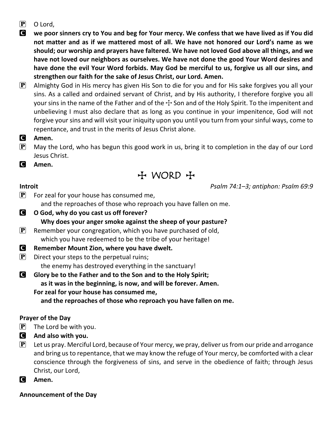P O Lord,

C **we poor sinners cry to You and beg for Your mercy. We confess that we have lived as if You did not matter and as if we mattered most of all. We have not honored our Lord's name as we should; our worship and prayers have faltered. We have not loved God above all things, and we have not loved our neighbors as ourselves. We have not done the good Your Word desires and have done the evil Your Word forbids. May God be merciful to us, forgive us all our sins, and strengthen our faith for the sake of Jesus Christ, our Lord. Amen.**

 $[P]$  Almighty God in His mercy has given His Son to die for you and for His sake forgives you all your sins. As a called and ordained servant of Christ, and by His authority, I therefore forgive you all your sins in the name of the Father and of the  $\pm$  Son and of the Holy Spirit. To the impenitent and unbelieving I must also declare that as long as you continue in your impenitence, God will not forgive your sins and will visit your iniquity upon you until you turn from your sinful ways, come to repentance, and trust in the merits of Jesus Christ alone.

- C **Amen.**
- $\mathbf{P}$  May the Lord, who has begun this good work in us, bring it to completion in the day of our Lord Jesus Christ.

C **Amen.**

 $H$  WORD  $H$ 

**Introit** *Psalm 74:1–3; antiphon: Psalm 69:9*

- $\left| \mathbf{P} \right|$  For zeal for your house has consumed me, and the reproaches of those who reproach you have fallen on me.
- C **O God, why do you cast us off forever? Why does your anger smoke against the sheep of your pasture?**  $\mathbf{P}$  Remember your congregation, which you have purchased of old,

which you have redeemed to be the tribe of your heritage!

- C **Remember Mount Zion, where you have dwelt.**
- $\mathbf{P}$  Direct your steps to the perpetual ruins; the enemy has destroyed everything in the sanctuary!
- C **Glory be to the Father and to the Son and to the Holy Spirit; as it was in the beginning, is now, and will be forever. Amen. For zeal for your house has consumed me,**

**and the reproaches of those who reproach you have fallen on me.**

#### **Prayer of the Day**

- $\left| \mathbf{P} \right|$  The Lord be with you.
- C **And also with you.**
- $\mathbf{P}$  Let us pray. Merciful Lord, because of Your mercy, we pray, deliver us from our pride and arrogance and bring us to repentance, that we may know the refuge of Your mercy, be comforted with a clear conscience through the forgiveness of sins, and serve in the obedience of faith; through Jesus Christ, our Lord,
- C **Amen.**

**Announcement of the Day**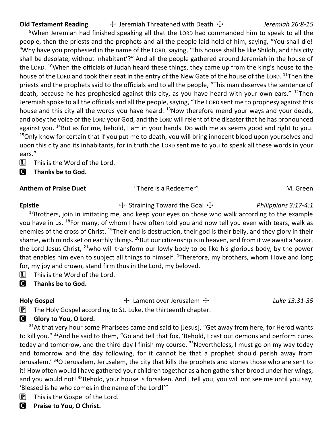**Old Testament Reading**  $\rightarrow$  Jeremiah Threatened with Death  $\rightarrow$  *Jeremiah 26:8-15* 

<sup>8</sup>When Jeremiah had finished speaking all that the LORD had commanded him to speak to all the people, then the priests and the prophets and all the people laid hold of him, saying, "You shall die! <sup>9</sup>Why have you prophesied in the name of the LORD, saying, 'This house shall be like Shiloh, and this city shall be desolate, without inhabitant'?" And all the people gathered around Jeremiah in the house of the LORD. <sup>10</sup>When the officials of Judah heard these things, they came up from the king's house to the house of the LORD and took their seat in the entry of the New Gate of the house of the LORD. <sup>11</sup>Then the priests and the prophets said to the officials and to all the people, "This man deserves the sentence of death, because he has prophesied against this city, as you have heard with your own ears." <sup>12</sup>Then Jeremiah spoke to all the officials and all the people, saying, "The LORD sent me to prophesy against this house and this city all the words you have heard.  $^{13}$ Now therefore mend your ways and your deeds, and obey the voice of the LORD your God, and the LORD will relent of the disaster that he has pronounced against you.  $^{14}$ But as for me, behold, I am in your hands. Do with me as seems good and right to you. <sup>15</sup>Only know for certain that if you put me to death, you will bring innocent blood upon yourselves and upon this city and its inhabitants, for in truth the LORD sent me to you to speak all these words in your ears."

 $\[\mathbf{\overline{L}}\]$  This is the Word of the Lord.

C **Thanks be to God.**

#### Anthem of Praise Duet **There is a Redeemer** "There is a Redeemer" M. Green

Epistle **The Example 3:17-4:1** Straining Toward the Goal  $\pm$  *Philippians 3:17-4:1* 

 $17$ Brothers, join in imitating me, and keep your eyes on those who walk according to the example you have in us. <sup>18</sup>For many, of whom I have often told you and now tell you even with tears, walk as enemies of the cross of Christ. <sup>19</sup>Their end is destruction, their god is their belly, and they glory in their shame, with minds set on earthly things. <sup>20</sup>But our citizenship is in heaven, and from it we await a Savior, the Lord Jesus Christ,  $^{21}$ who will transform our lowly body to be like his glorious body, by the power that enables him even to subject all things to himself. <sup>1</sup>Therefore, my brothers, whom I love and long for, my joy and crown, stand firm thus in the Lord, my beloved.

 $[L]$  This is the Word of the Lord.

#### C **Thanks be to God.**

Holy Gospel **The Cospel** The Lament over Jerusalem  $\ddot{\mathbf{H}}$  and  $\ddot{\mathbf{H}}$  and  $\ddot{\mathbf{H}}$  are *Luke 13:31-35* 

**P** The Holy Gospel according to St. Luke, the thirteenth chapter.

#### **C** Glory to You, O Lord.

 $31$ At that very hour some Pharisees came and said to [Jesus], "Get away from here, for Herod wants to kill you." <sup>32</sup>And he said to them, "Go and tell that fox, 'Behold, I cast out demons and perform cures today and tomorrow, and the third day I finish my course.  $33$ Nevertheless, I must go on my way today and tomorrow and the day following, for it cannot be that a prophet should perish away from Jerusalem.' <sup>34</sup>O Jerusalem, Jerusalem, the city that kills the prophets and stones those who are sent to it! How often would I have gathered your children together as a hen gathers her brood under her wings, and you would not! <sup>35</sup>Behold, your house is forsaken. And I tell you, you will not see me until you say, 'Blessed is he who comes in the name of the Lord!'"

- $\left[ \mathbf{P} \right]$  This is the Gospel of the Lord.
- C **Praise to You, O Christ.**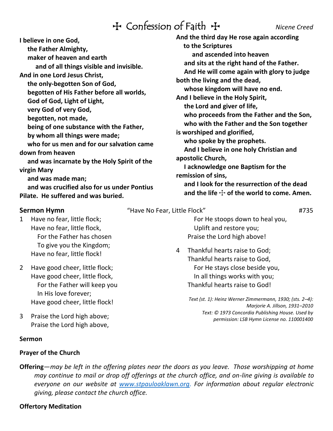## TConfession of Faith T *Nicene Creed*

**I believe in one God, the Father Almighty,**

**maker of heaven and earth**

**and of all things visible and invisible.**

**And in one Lord Jesus Christ,**

**the only-begotten Son of God,**

**begotten of His Father before all worlds,**

**God of God, Light of Light,**

**very God of very God,**

**begotten, not made,**

**being of one substance with the Father,**

**by whom all things were made;**

**who for us men and for our salvation came down from heaven**

**and was incarnate by the Holy Spirit of the virgin Mary**

**and was made man;**

**and was crucified also for us under Pontius Pilate. He suffered and was buried.**

1 Have no fear, little flock; Have no fear, little flock, For the Father has chosen To give you the Kingdom; Have no fear, little flock!

2 Have good cheer, little flock; Have good cheer, little flock, For the Father will keep you In His love forever; Have good cheer, little flock!

3 Praise the Lord high above; Praise the Lord high above,

#### **Sermon**

#### **Prayer of the Church**

**and ascended into heaven and sits at the right hand of the Father. And He will come again with glory to judge both the living and the dead, whose kingdom will have no end. And I believe in the Holy Spirit, the Lord and giver of life, who proceeds from the Father and the Son, who with the Father and the Son together is worshiped and glorified, who spoke by the prophets. And I believe in one holy Christian and apostolic Church,**

**And the third day He rose again according**

**to the Scriptures**

**I acknowledge one Baptism for the remission of sins,**

**and I look for the resurrection of the dead** and the life  $\div$  of the world to come. Amen.

**Sermon Hymn**  $\qquad$  "Have No Fear, Little Flock"  $\qquad$  #735

 For He stoops down to heal you, Uplift and restore you; Praise the Lord high above!

4 Thankful hearts raise to God; Thankful hearts raise to God, For He stays close beside you, In all things works with you; Thankful hearts raise to God!

> *Text (st. 1): Heinz Werner Zimmermann, 1930; (sts. 2–4): Marjorie A. Jillson, 1931–2010 Text: © 1973 Concordia Publishing House. Used by permission: LSB Hymn License no. 110001400*

**Offering**—*may be left in the offering plates near the doors as you leave. Those worshipping at home may continue to mail or drop off offerings at the church office, and on-line giving is available to everyone on our website at [www.stpauloaklawn.org.](http://www.stpauloaklawn.org/) For information about regular electronic giving, please contact the church office.* 

#### **Offertory Meditation**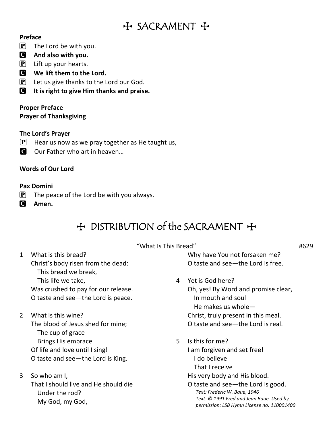## $H$  SACRAMENT +

#### **Preface**

- $\mathbf{P}$  The Lord be with you.
- C **And also with you.**
- $\left| \mathbf{P} \right|$  Lift up your hearts.
- C **We lift them to the Lord.**
- $\boxed{\mathbf{P}}$  Let us give thanks to the Lord our God.
- C **It is right to give Him thanks and praise.**

#### **Proper Preface Prayer of Thanksgiving**

### **The Lord's Prayer**

- **P** Hear us now as we pray together as He taught us,
- C Our Father who art in heaven...

### **Words of Our Lord**

### **Pax Domini**

- $\left| \mathbf{P} \right|$  The peace of the Lord be with you always.
- C **Amen.**

## $H$  DISTRIBUTION of the SACRAMENT  $H$

#### "What Is This Bread" #629

- 1 What is this bread? Christ's body risen from the dead: This bread we break, This life we take, Was crushed to pay for our release. O taste and see—the Lord is peace.
- 2 What is this wine? The blood of Jesus shed for mine; The cup of grace Brings His embrace Of life and love until I sing! O taste and see—the Lord is King.
- 3 So who am I, That I should live and He should die Under the rod? My God, my God,

Why have You not forsaken me? O taste and see—the Lord is free.

## 4 Yet is God here?

Oh, yes! By Word and promise clear, In mouth and soul He makes us whole— Christ, truly present in this meal. O taste and see—the Lord is real.

- 5 Is this for me?
	- I am forgiven and set free! I do believe That I receive His very body and His blood. O taste and see—the Lord is good.
		- *Text: Frederic W. Baue, 1946 Text: © 1991 Fred and Jean Baue. Used by permission: LSB Hymn License no. 110001400*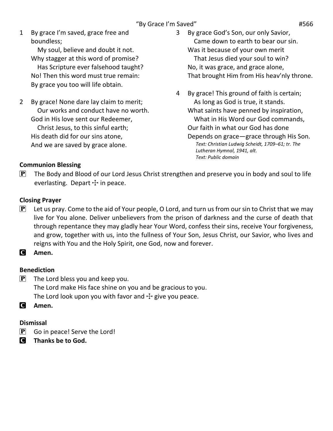1 By grace I'm saved, grace free and boundless;

 My soul, believe and doubt it not. Why stagger at this word of promise? Has Scripture ever falsehood taught? No! Then this word must true remain: By grace you too will life obtain.

- 2 By grace! None dare lay claim to merit; Our works and conduct have no worth. God in His love sent our Redeemer, Christ Jesus, to this sinful earth; His death did for our sins atone, And we are saved by grace alone.
- 3 By grace God's Son, our only Savior, Came down to earth to bear our sin. Was it because of your own merit That Jesus died your soul to win? No, it was grace, and grace alone, That brought Him from His heav'nly throne.
- 4 By grace! This ground of faith is certain; As long as God is true, it stands. What saints have penned by inspiration, What in His Word our God commands, Our faith in what our God has done Depends on grace—grace through His Son. *Text: Christian Ludwig Scheidt, 1709–61; tr. The Lutheran Hymnal, 1941, alt. Text: Public domain*

### **Communion Blessing**

 $\mathbf{P}$  The Body and Blood of our Lord Jesus Christ strengthen and preserve you in body and soul to life everlasting. Depart  $+$  in peace.

### **Closing Prayer**

 $\left[\mathbf{P}\right]$  Let us pray. Come to the aid of Your people, O Lord, and turn us from our sin to Christ that we may live for You alone. Deliver unbelievers from the prison of darkness and the curse of death that through repentance they may gladly hear Your Word, confess their sins, receive Your forgiveness, and grow, together with us, into the fullness of Your Son, Jesus Christ, our Savior, who lives and reigns with You and the Holy Spirit, one God, now and forever.

C **Amen.**

### **Benediction**

 $\left[ P \right]$  The Lord bless you and keep you. The Lord make His face shine on you and be gracious to you. The Lord look upon you with favor and  $\pm$  give you peace.

C **Amen.**

### **Dismissal**

- $\left[ \mathbf{P} \right]$  Go in peace! Serve the Lord!
- C **Thanks be to God.**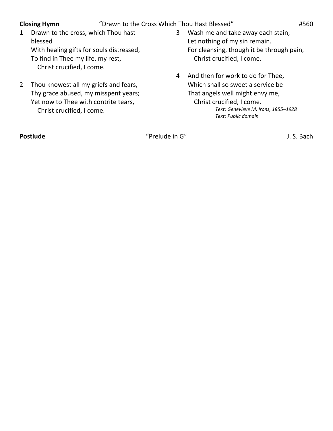**Closing Hymn** "Drawn to the Cross Which Thou Hast Blessed" #560

- 1 Drawn to the cross, which Thou hast blessed With healing gifts for souls distressed, To find in Thee my life, my rest, Christ crucified, I come.
- 2 Thou knowest all my griefs and fears, Thy grace abused, my misspent years; Yet now to Thee with contrite tears, Christ crucified, I come.
- 3 Wash me and take away each stain; Let nothing of my sin remain. For cleansing, though it be through pain, Christ crucified, I come.
- 4 And then for work to do for Thee, Which shall so sweet a service be That angels well might envy me, Christ crucified, I come. *Text: Genevieve M. Irons, 1855–1928 Text: Public domain*

**Postlude** The Letter of the Contract of the Contract of Trelude in G" Trelude in G" J. S. Bach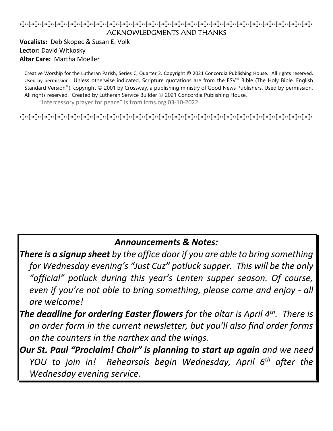### TTTTTTTTTTTTTTTTTTTTTTTTTTTTTTTTTTTTTTTTTTTTT ACKNOWLEDGMENTS AND THANKS

**Vocalists:** Deb Skopec & Susan E. Volk **Lector:** David Witkosky **Altar Care:** Martha Moeller

Creative Worship for the Lutheran Parish, Series C, Quarter 2. Copyright © 2021 Concordia Publishing House. All rights reserved. Used by permission. Unless otherwise indicated, Scripture quotations are from the ESV® Bible (The Holy Bible, English Standard Version®), copyright © 2001 by Crossway, a publishing ministry of Good News Publishers. Used by permission. All rights reserved. Created by Lutheran Service Builder © 2021 Concordia Publishing House.

"Intercessory prayer for peace" is from lcms.org 03-10-2022.

TTTTTTTTTTTTTTTTTTTTTTTTTTTTTTTTTTTTTTTTTTTTT

### *Announcements & Notes:*

- *There is a signup sheet by the office door if you are able to bring something for Wednesday evening's "Just Cuz" potluck supper. This will be the only "official" potluck during this year's Lenten supper season. Of course, even if you're not able to bring something, please come and enjoy - all are welcome!*
- *The deadline for ordering Easter flowers for the altar is April 4th. There is an order form in the current newsletter, but you'll also find order forms on the counters in the narthex and the wings.*
- *Our St. Paul "Proclaim! Choir" is planning to start up again and we need YOU to join in! Rehearsals begin Wednesday, April 6th after the Wednesday evening service.*